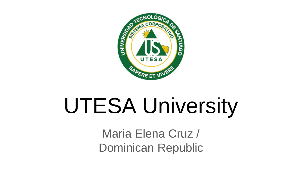

# UTESA University

Maria Elena Cruz / Dominican Republic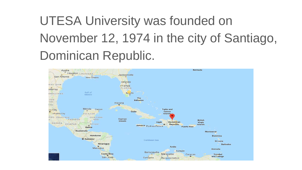## UTESA University was founded on November 12, 1974 in the city of Santiago, Dominican Republic.

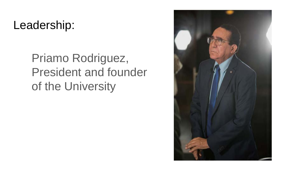#### Leadership:

Priamo Rodriguez, President and founder of the University

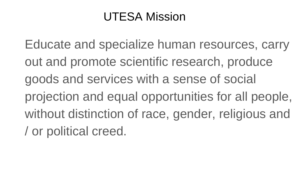#### UTESA Mission

Educate and specialize human resources, carry out and promote scientific research, produce goods and services with a sense of social projection and equal opportunities for all people, without distinction of race, gender, religious and / or political creed.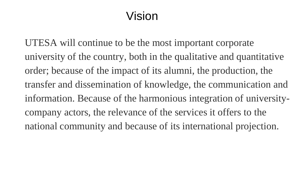#### Vision

UTESA will continue to be the most important corporate university of the country, both in the qualitative and quantitative order; because of the impact of its alumni, the production, the transfer and dissemination of knowledge, the communication and information. Because of the harmonious integration of universitycompany actors, the relevance of the services it offers to the national community and because of its international projection.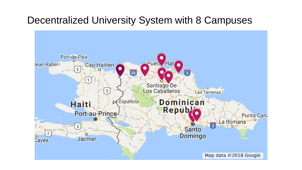#### Decentralized University System with 8 Campuses

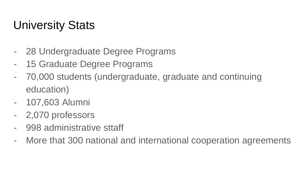### University Stats

- 28 Undergraduate Degree Programs
- 15 Graduate Degree Programs
- 70,000 students (undergraduate, graduate and continuing education)
- 107,603 Alumni
- 2,070 professors
- 998 administrative sttaff
- More that 300 national and international cooperation agreements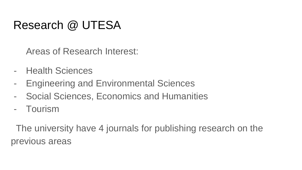#### Research @ UTESA

Areas of Research Interest:

- Health Sciences
- Engineering and Environmental Sciences
- Social Sciences, Economics and Humanities
- Tourism

The university have 4 journals for publishing research on the previous areas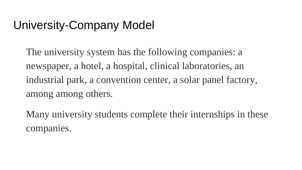#### University-Company Model

The university system has the following companies: a newspaper, a hotel, a hospital, clinical laboratories, an industrial park, a convention center, a solar panel factory, among among others.

Many university students complete their internships in these companies.